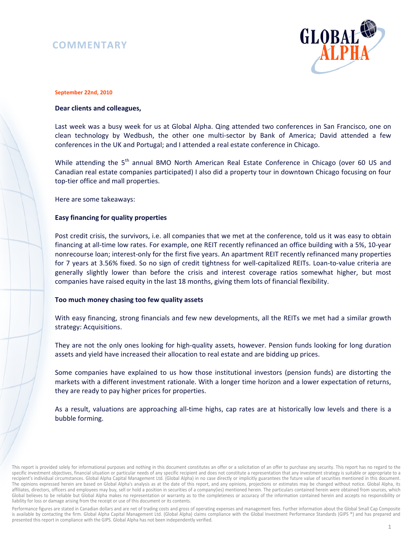# **COMMENTARY**



#### **September 22nd, 2010**

### **Dear clients and colleagues,**

Last week was a busy week for us at Global Alpha. Qing attended two conferences in San Francisco, one on clean technology by Wedbush, the other one multi-sector by Bank of America; David attended a few conferences in the UK and Portugal; and I attended a real estate conference in Chicago.

While attending the 5<sup>th</sup> annual BMO North American Real Estate Conference in Chicago (over 60 US and Canadian real estate companies participated) I also did a property tour in downtown Chicago focusing on four top-tier office and mall properties.

Here are some takeaways:

### **Easy financing for quality properties**

Post credit crisis, the survivors, i.e. all companies that we met at the conference, told us it was easy to obtain financing at all-time low rates. For example, one REIT recently refinanced an office building with a 5%, 10-year nonrecourse loan; interest-only for the first five years. An apartment REIT recently refinanced many properties for 7 years at 3.56% fixed. So no sign of credit tightness for well-capitalized REITs. Loan-to-value criteria are generally slightly lower than before the crisis and interest coverage ratios somewhat higher, but most companies have raised equity in the last 18 months, giving them lots of financial flexibility.

### **Too much money chasing too few quality assets**

With easy financing, strong financials and few new developments, all the REITs we met had a similar growth strategy: Acquisitions.

They are not the only ones looking for high-quality assets, however. Pension funds looking for long duration assets and yield have increased their allocation to real estate and are bidding up prices.

Some companies have explained to us how those institutional investors (pension funds) are distorting the markets with a different investment rationale. With a longer time horizon and a lower expectation of returns, they are ready to pay higher prices for properties.

As a result, valuations are approaching all-time highs, cap rates are at historically low levels and there is a bubble forming.

Performance figures are stated in Canadian dollars and are net of trading costs and gross of operating expenses and management fees. Further information about the Global Small Cap Composite is available by contacting the firm. Global Alpha Capital Management Ltd. (Global Alpha) claims compliance with the Global Investment Performance Standards (GIPS ®) and has prepared and presented this report in compliance with the GIPS. Global Alpha has not been independently verified.

This report is provided solely for informational purposes and nothing in this document constitutes an offer or a solicitation of an offer to purchase any security. This report has no regard to the specific investment objectives, financial situation or particular needs of any specific recipient and does not constitute a representation that any investment strategy is suitable or appropriate to a recipient's individual circumstances. Global Alpha Capital Management Ltd. (Global Alpha) in no case directly or implicitly guarantees the future value of securities mentioned in this document. The opinions expressed herein are based on Global Alpha's analysis as at the date of this report, and any opinions, projections or estimates may be changed without notice. Global Alpha, its affiliates, directors, officers and employees may buy, sell or hold a position in securities of a company(ies) mentioned herein. The particulars contained herein were obtained from sources, which Global believes to be reliable but Global Alpha makes no representation or warranty as to the completeness or accuracy of the information contained herein and accepts no responsibility or liability for loss or damage arising from the receipt or use of this document or its contents.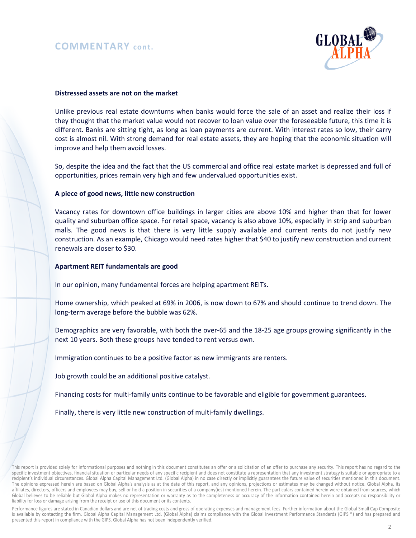## **COMMENTARY cont.**



#### **Distressed assets are not on the market**

Unlike previous real estate downturns when banks would force the sale of an asset and realize their loss if they thought that the market value would not recover to loan value over the foreseeable future, this time it is different. Banks are sitting tight, as long as loan payments are current. With interest rates so low, their carry cost is almost nil. With strong demand for real estate assets, they are hoping that the economic situation will improve and help them avoid losses.

So, despite the idea and the fact that the US commercial and office real estate market is depressed and full of opportunities, prices remain very high and few undervalued opportunities exist.

#### **A piece of good news, little new construction**

Vacancy rates for downtown office buildings in larger cities are above 10% and higher than that for lower quality and suburban office space. For retail space, vacancy is also above 10%, especially in strip and suburban malls. The good news is that there is very little supply available and current rents do not justify new construction. As an example, Chicago would need rates higher that \$40 to justify new construction and current renewals are closer to \$30.

#### **Apartment REIT fundamentals are good**

In our opinion, many fundamental forces are helping apartment REITs.

Home ownership, which peaked at 69% in 2006, is now down to 67% and should continue to trend down. The long-term average before the bubble was 62%.

Demographics are very favorable, with both the over-65 and the 18-25 age groups growing significantly in the next 10 years. Both these groups have tended to rent versus own.

Immigration continues to be a positive factor as new immigrants are renters.

Job growth could be an additional positive catalyst.

Financing costs for multi-family units continue to be favorable and eligible for government guarantees.

Finally, there is very little new construction of multi-family dwellings.

This report is provided solely for informational purposes and nothing in this document constitutes an offer or a solicitation of an offer to purchase any security. This report has no regard to the specific investment objectives, financial situation or particular needs of any specific recipient and does not constitute a representation that any investment strategy is suitable or appropriate to a recipient's individual circumstances. Global Alpha Capital Management Ltd. (Global Alpha) in no case directly or implicitly guarantees the future value of securities mentioned in this document. The opinions expressed herein are based on Global Alpha's analysis as at the date of this report, and any opinions, projections or estimates may be changed without notice. Global Alpha, its affiliates, directors, officers and employees may buy, sell or hold a position in securities of a company(ies) mentioned herein. The particulars contained herein were obtained from sources, which Global believes to be reliable but Global Alpha makes no representation or warranty as to the completeness or accuracy of the information contained herein and accepts no responsibility or liability for loss or damage arising from the receipt or use of this document or its contents.

Performance figures are stated in Canadian dollars and are net of trading costs and gross of operating expenses and management fees. Further information about the Global Small Cap Composite is available by contacting the firm. Global Alpha Capital Management Ltd. (Global Alpha) claims compliance with the Global Investment Performance Standards (GIPS ®) and has prepared and presented this report in compliance with the GIPS. Global Alpha has not been independently verified.